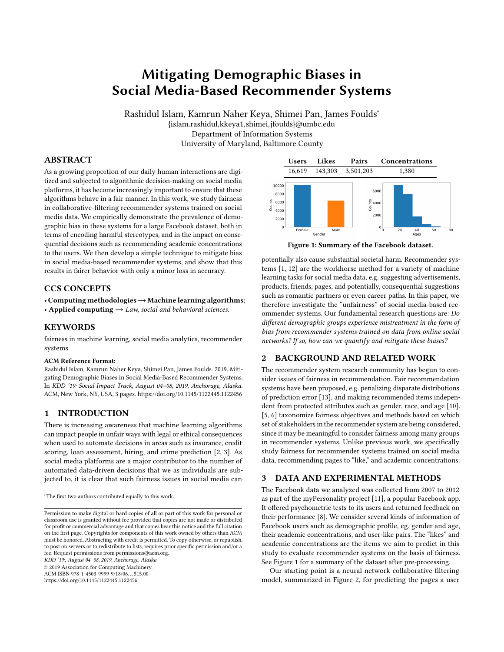# Mitigating Demographic Biases in Social Media-Based Recommender Systems

Rashidul Islam, Kamrun Naher Keya, Shimei Pan, James Foulds<sup>∗</sup> {islam.rashidul,kkeya1,shimei,jfoulds}@umbc.edu Department of Information Systems University of Maryland, Baltimore County

# ABSTRACT

As a growing proportion of our daily human interactions are digitized and subjected to algorithmic decision-making on social media platforms, it has become increasingly important to ensure that these algorithms behave in a fair manner. In this work, we study fairness in collaborative-filtering recommender systems trained on social media data. We empirically demonstrate the prevalence of demographic bias in these systems for a large Facebook dataset, both in terms of encoding harmful stereotypes, and in the impact on consequential decisions such as recommending academic concentrations to the users. We then develop a simple technique to mitigate bias in social media-based recommender systems, and show that this results in fairer behavior with only a minor loss in accuracy.

#### CCS CONCEPTS

• Computing methodologies→Machine learning algorithms;

• Applied computing  $\rightarrow$  Law, social and behavioral sciences.

# KEYWORDS

fairness in machine learning, social media analytics, recommender systems

#### ACM Reference Format:

Rashidul Islam, Kamrun Naher Keya, Shimei Pan, James Foulds. 2019. Mitigating Demographic Biases in Social Media-Based Recommender Systems. In KDD '19: Social Impact Track, August 04–08, 2019, Anchorage, Alaska. ACM, New York, NY, USA, [3](#page-2-0) pages.<https://doi.org/10.1145/1122445.1122456>

## 1 INTRODUCTION

There is increasing awareness that machine learning algorithms can impact people in unfair ways with legal or ethical consequences when used to automate decisions in areas such as insurance, credit scoring, loan assessment, hiring, and crime prediction [\[2,](#page-2-1) [3\]](#page-2-2). As social media platforms are a major contributor to the number of automated data-driven decisions that we as individuals are subjected to, it is clear that such fairness issues in social media can

KDD '19:, August 04–08, 2019, Anchorage, Alaska

© 2019 Association for Computing Machinery.

ACM ISBN 978-1-4503-9999-9/18/06. . . \$15.00

<https://doi.org/10.1145/1122445.1122456>

<span id="page-0-0"></span>

Figure 1: Summary of the Facebook dataset.

potentially also cause substantial societal harm. Recommender systems [\[1,](#page-2-3) [12\]](#page-2-4) are the workhorse method for a variety of machine learning tasks for social media data, e.g. suggesting advertisements, products, friends, pages, and potentially, consequential suggestions such as romantic partners or even career paths. In this paper, we therefore investigate the "unfairness" of social media-based recommender systems. Our fundamental research questions are: Do different demographic groups experience mistreatment in the form of bias from recommender systems trained on data from online social networks? If so, how can we quantify and mitigate these biases?

# 2 BACKGROUND AND RELATED WORK

The recommender system research community has begun to consider issues of fairness in recommendation. Fair recommendation systems have been proposed, e.g. penalizing disparate distributions of prediction error [\[13\]](#page-2-5), and making recommended items independent from protected attributes such as gender, race, and age [\[10\]](#page-2-6). [\[5,](#page-2-7) [6\]](#page-2-8) taxonomize fairness objectives and methods based on which set of stakeholders in the recommender system are being considered, since it may be meaningful to consider fairness among many groups in recommender systems. Unlike previous work, we specifically study fairness for recommender systems trained on social media data, recommending pages to "like," and academic concentrations.

# 3 DATA AND EXPERIMENTAL METHODS

The Facebook data we analyzed was collected from 2007 to 2012 as part of the myPersonality project [\[11\]](#page-2-9), a popular Facebook app. It offered psychometric tests to its users and returned feedback on their performance [\[8\]](#page-2-10). We consider several kinds of information of Facebook users such as demographic profile, eg. gender and age, their academic concentrations, and user-like pairs. The "likes" and academic concentrations are the items we aim to predict in this study to evaluate recommender systems on the basis of fairness. See Figure [1](#page-0-0) for a summary of the dataset after pre-processing.

Our starting point is a neural network collaborative filtering model, summarized in Figure [2,](#page-1-0) for predicting the pages a user

<sup>∗</sup>The first two authors contributed equally to this work.

Permission to make digital or hard copies of all or part of this work for personal or classroom use is granted without fee provided that copies are not made or distributed for profit or commercial advantage and that copies bear this notice and the full citation on the first page. Copyrights for components of this work owned by others than ACM must be honored. Abstracting with credit is permitted. To copy otherwise, or republish, to post on servers or to redistribute to lists, requires prior specific permission and/or a fee. Request permissions from permissions@acm.org.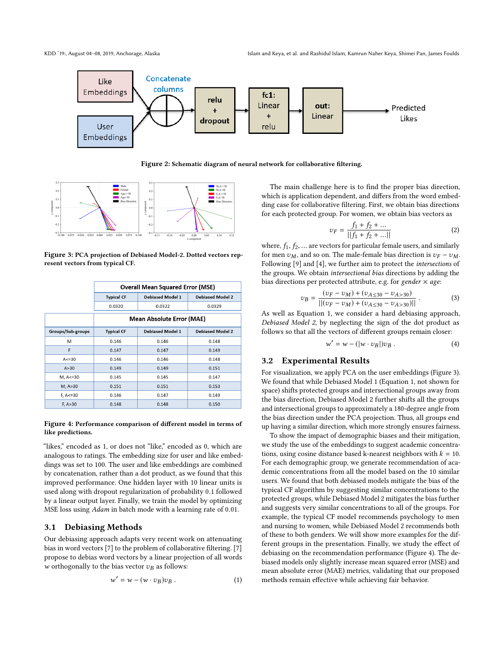<span id="page-1-0"></span>

Figure 2: Schematic diagram of neural network for collaborative filtering.

<span id="page-1-2"></span>

Figure 3: PCA projection of Debiased Model-2. Dotted vectors represent vectors from typical CF.

<span id="page-1-3"></span>

|                   | <b>Overall Mean Squared Error (MSE)</b> |                         |                         |
|-------------------|-----------------------------------------|-------------------------|-------------------------|
|                   | <b>Typical CF</b>                       | <b>Debiased Model 1</b> | <b>Debiased Model 2</b> |
|                   | 0.0320                                  | 0.0322                  | 0.0329                  |
|                   | <b>Mean Absolute Error (MAE)</b>        |                         |                         |
| Groups/Sub-groups | <b>Typical CF</b>                       | Debiased Model 1        | <b>Debiased Model 2</b> |
| M                 | 0.146                                   | 0.146                   | 0.148                   |
| F                 | 0.147                                   | 0.147                   | 0.149                   |
| $A < = 30$        | 0.146                                   | 0.146                   | 0.148                   |
| A > 30            | 0.149                                   | 0.149                   | 0.151                   |
| M, A<=30          | 0.145                                   | 0.145                   | 0.147                   |
| M, A>30           | 0.151                                   | 0.151                   | 0.153                   |
| $F, A < = 30$     | 0.146                                   | 0.147                   | 0.149                   |
| F, A > 30         | 0.148                                   | 0.148                   | 0.150                   |

#### Figure 4: Performance comparison of different model in terms of like predictions.

"likes," encoded as 1, or does not "like," encoded as 0, which are analogous to ratings. The embedding size for user and like embeddings was set to 100. The user and like embeddings are combined by concatenation, rather than a dot product, as we found that this improved performance. One hidden layer with 10 linear units is used along with dropout regularization of probability <sup>0</sup>.<sup>1</sup> followed by a linear output layer. Finally, we train the model by optimizing MSE loss using Adam in batch mode with a learning rate of <sup>0</sup>.01.

# 3.1 Debiasing Methods

Our debiasing approach adapts very recent work on attenuating bias in word vectors [\[7\]](#page-2-11) to the problem of collaborative filtering. [\[7\]](#page-2-11) propose to debias word vectors by a linear projection of all words w orthogonally to the bias vector  $v_B$  as follows:

<span id="page-1-1"></span>
$$
w' = w - (w \cdot v_B)v_B.
$$
 (1)

The main challenge here is to find the proper bias direction, which is application dependent, and differs from the word embedding case for collaborative filtering. First, we obtain bias directions for each protected group. For women, we obtain bias vectors as

$$
v_F = \frac{f_1 + f_2 + \dots}{||f_1 + f_2 + \dots||}
$$
 (2)

where,  $f_1, f_2, ...$  are vectors for particular female users, and similarly for men zure and so on. The male-female bias direction is zure  $\pi$ for men  $v_M$ , and so on. The male-female bias direction is  $v_F - v_M$ . Following [\[9\]](#page-2-12) and [\[4\]](#page-2-13), we further aim to protect the intersections of the groups. We obtain intersectional bias directions by adding the bias directions per protected attribute, e.g. for gender  $\times$  age:

$$
v_B = \frac{(v_F - v_M) + (v_{A \le 30} - v_{A > 30})}{||(v_F - v_M) + (v_{A \le 30} - v_{A > 30})||}.
$$
\n(3)

\nAs well as Equation 1, we consider a hard debiasing approach,

Debiased Model 2, by neglecting the sign of the dot product as follows so that all the vectors of different groups remain closer:

$$
w' = w - (|w \cdot v_B|)v_B.
$$
 (4)

## 3.2 Experimental Results

For visualization, we apply PCA on the user embeddings (Figure [3\)](#page-1-2). We found that while Debiased Model 1 (Equation [1,](#page-1-1) not shown for space) shifts protected groups and intersectional groups away from the bias direction, Debiased Model 2 further shifts all the groups and intersectional groups to approximately a 180-degree angle from the bias direction under the PCA projection. Thus, all groups end up having a similar direction, which more strongly ensures fairness.

To show the impact of demographic biases and their mitigation, we study the use of the embeddings to suggest academic concentrations, using cosine distance based k-nearest neighbors with  $k = 10$ . For each demographic group, we generate recommendation of academic concentrations from all the model based on the 10 similar users. We found that both debiased models mitigate the bias of the typical CF algorithm by suggesting similar concentrations to the protected groups, while Debiased Model 2 mitigates the bias further and suggests very similar concentrations to all of the groups. For example, the typical CF model recommends psychology to men and nursing to women, while Debiased Model 2 recommends both of these to both genders. We will show more examples for the different groups in the presentation. Finally, we study the effect of debiasing on the recommendation performance (Figure [4\)](#page-1-3). The debiased models only slightly increase mean squared error (MSE) and mean absolute error (MAE) metrics, validating that our proposed methods remain effective while achieving fair behavior.